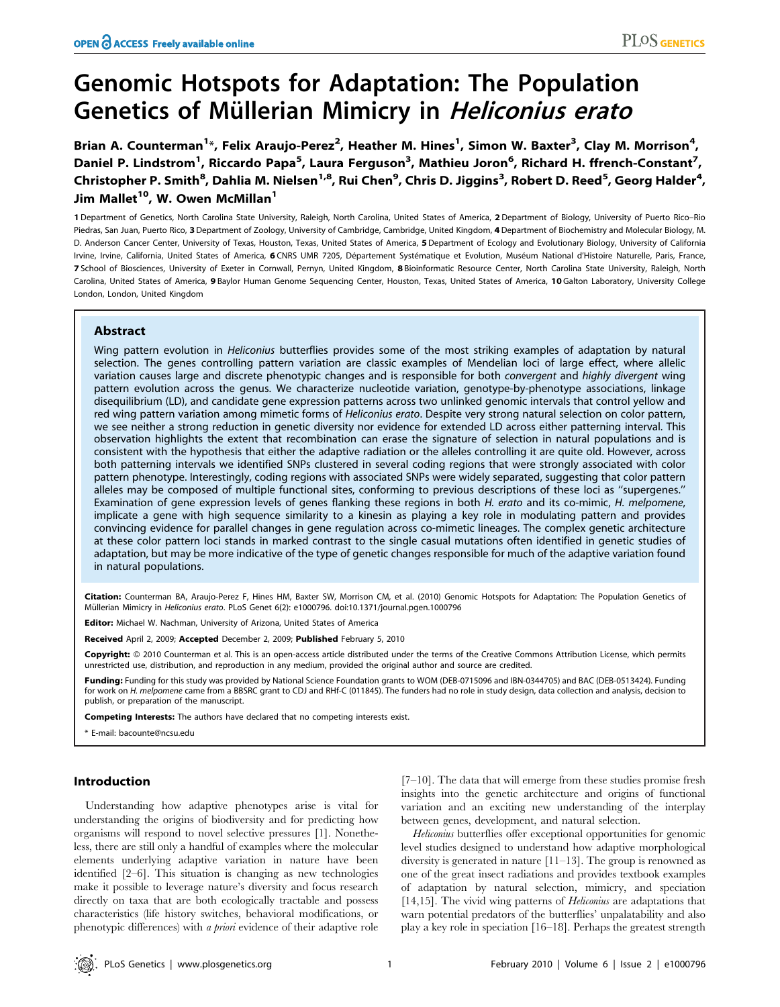# Genomic Hotspots for Adaptation: The Population Genetics of Müllerian Mimicry in Heliconius erato

Brian A. Counterman<sup>1</sup>\*, Felix Araujo-Perez<sup>2</sup>, Heather M. Hines<sup>1</sup>, Simon W. Baxter<sup>3</sup>, Clay M. Morrison<sup>4</sup>, Daniel P. Lindstrom<sup>1</sup>, Riccardo Papa<sup>5</sup>, Laura Ferguson<sup>3</sup>, Mathieu Joron<sup>6</sup>, Richard H. ffrench-Constant<sup>7</sup>, Christopher P. Smith<sup>8</sup>, Dahlia M. Nielsen<sup>1,8</sup>, Rui Chen<sup>9</sup>, Chris D. Jiggins<sup>3</sup>, Robert D. Reed<sup>5</sup>, Georg Halder<sup>4</sup>, Jim Mallet<sup>10</sup>, W. Owen McMillan<sup>1</sup>

1 Department of Genetics, North Carolina State University, Raleigh, North Carolina, United States of America, 2 Department of Biology, University of Puerto Rico–Rio Piedras, San Juan, Puerto Rico, 3 Department of Zoology, University of Cambridge, Cambridge, United Kingdom, 4 Department of Biochemistry and Molecular Biology, M. D. Anderson Cancer Center, University of Texas, Houston, Texas, United States of America, 5 Department of Ecology and Evolutionary Biology, University of California Irvine, Irvine, California, United States of America, 6 CNRS UMR 7205, Département Systématique et Evolution, Muséum National d'Histoire Naturelle, Paris, France, 7 School of Biosciences, University of Exeter in Cornwall, Pernyn, United Kingdom, 8 Bioinformatic Resource Center, North Carolina State University, Raleigh, North Carolina, United States of America, 9 Baylor Human Genome Sequencing Center, Houston, Texas, United States of America, 10 Galton Laboratory, University College London, London, United Kingdom

# Abstract

Wing pattern evolution in *Heliconius* butterflies provides some of the most striking examples of adaptation by natural selection. The genes controlling pattern variation are classic examples of Mendelian loci of large effect, where allelic variation causes large and discrete phenotypic changes and is responsible for both convergent and highly divergent wing pattern evolution across the genus. We characterize nucleotide variation, genotype-by-phenotype associations, linkage disequilibrium (LD), and candidate gene expression patterns across two unlinked genomic intervals that control yellow and red wing pattern variation among mimetic forms of Heliconius erato. Despite very strong natural selection on color pattern, we see neither a strong reduction in genetic diversity nor evidence for extended LD across either patterning interval. This observation highlights the extent that recombination can erase the signature of selection in natural populations and is consistent with the hypothesis that either the adaptive radiation or the alleles controlling it are quite old. However, across both patterning intervals we identified SNPs clustered in several coding regions that were strongly associated with color pattern phenotype. Interestingly, coding regions with associated SNPs were widely separated, suggesting that color pattern alleles may be composed of multiple functional sites, conforming to previous descriptions of these loci as ''supergenes.'' Examination of gene expression levels of genes flanking these regions in both H. erato and its co-mimic, H. melpomene, implicate a gene with high sequence similarity to a kinesin as playing a key role in modulating pattern and provides convincing evidence for parallel changes in gene regulation across co-mimetic lineages. The complex genetic architecture at these color pattern loci stands in marked contrast to the single casual mutations often identified in genetic studies of adaptation, but may be more indicative of the type of genetic changes responsible for much of the adaptive variation found in natural populations.

Citation: Counterman BA, Araujo-Perez F, Hines HM, Baxter SW, Morrison CM, et al. (2010) Genomic Hotspots for Adaptation: The Population Genetics of Müllerian Mimicry in Heliconius erato. PLoS Genet 6(2): e1000796. doi:10.1371/journal.pgen.1000796

Editor: Michael W. Nachman, University of Arizona, United States of America

Received April 2, 2009; Accepted December 2, 2009; Published February 5, 2010

Copyright: © 2010 Counterman et al. This is an open-access article distributed under the terms of the Creative Commons Attribution License, which permits unrestricted use, distribution, and reproduction in any medium, provided the original author and source are credited.

Funding: Funding for this study was provided by National Science Foundation grants to WOM (DEB-0715096 and IBN-0344705) and BAC (DEB-0513424). Funding for work on H. melpomene came from a BBSRC grant to CDJ and RHf-C (011845). The funders had no role in study design, data collection and analysis, decision to publish, or preparation of the manuscript.

Competing Interests: The authors have declared that no competing interests exist.

\* E-mail: bacounte@ncsu.edu

#### Introduction

Understanding how adaptive phenotypes arise is vital for understanding the origins of biodiversity and for predicting how organisms will respond to novel selective pressures [1]. Nonetheless, there are still only a handful of examples where the molecular elements underlying adaptive variation in nature have been identified [2–6]. This situation is changing as new technologies make it possible to leverage nature's diversity and focus research directly on taxa that are both ecologically tractable and possess characteristics (life history switches, behavioral modifications, or phenotypic differences) with a priori evidence of their adaptive role

[7–10]. The data that will emerge from these studies promise fresh insights into the genetic architecture and origins of functional variation and an exciting new understanding of the interplay between genes, development, and natural selection.

Heliconius butterflies offer exceptional opportunities for genomic level studies designed to understand how adaptive morphological diversity is generated in nature [11–13]. The group is renowned as one of the great insect radiations and provides textbook examples of adaptation by natural selection, mimicry, and speciation [14,15]. The vivid wing patterns of *Heliconius* are adaptations that warn potential predators of the butterflies' unpalatability and also play a key role in speciation [16–18]. Perhaps the greatest strength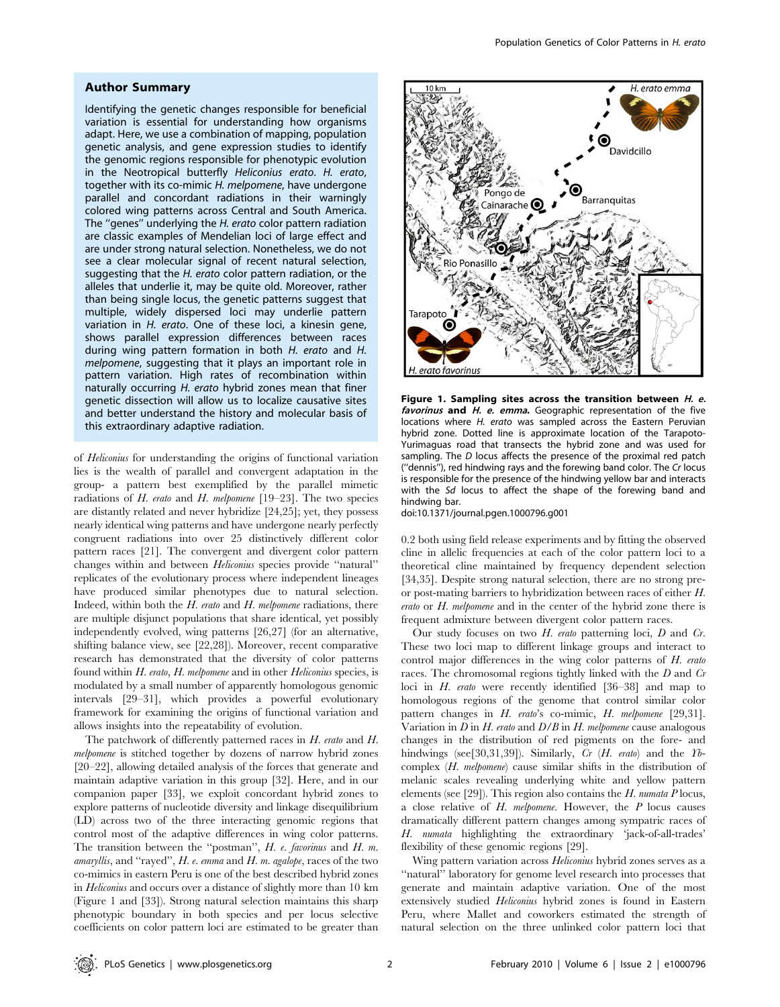#### Author Summary

Identifying the genetic changes responsible for beneficial variation is essential for understanding how organisms adapt. Here, we use a combination of mapping, population genetic analysis, and gene expression studies to identify the genomic regions responsible for phenotypic evolution in the Neotropical butterfly Heliconius erato. H. erato, together with its co-mimic H. melpomene, have undergone parallel and concordant radiations in their warningly colored wing patterns across Central and South America. The ''genes'' underlying the H. erato color pattern radiation are classic examples of Mendelian loci of large effect and are under strong natural selection. Nonetheless, we do not see a clear molecular signal of recent natural selection, suggesting that the H. erato color pattern radiation, or the alleles that underlie it, may be quite old. Moreover, rather than being single locus, the genetic patterns suggest that multiple, widely dispersed loci may underlie pattern variation in H. erato. One of these loci, a kinesin gene, shows parallel expression differences between races during wing pattern formation in both H. erato and H. melpomene, suggesting that it plays an important role in pattern variation. High rates of recombination within naturally occurring H. erato hybrid zones mean that finer genetic dissection will allow us to localize causative sites and better understand the history and molecular basis of this extraordinary adaptive radiation.

of Heliconius for understanding the origins of functional variation lies is the wealth of parallel and convergent adaptation in the group- a pattern best exemplified by the parallel mimetic radiations of  $H$ . erato and  $H$ . melpomene [19–23]. The two species are distantly related and never hybridize [24,25]; yet, they possess nearly identical wing patterns and have undergone nearly perfectly congruent radiations into over 25 distinctively different color pattern races [21]. The convergent and divergent color pattern changes within and between Heliconius species provide ''natural'' replicates of the evolutionary process where independent lineages have produced similar phenotypes due to natural selection. Indeed, within both the  $H$ . erato and  $H$ . melpomene radiations, there are multiple disjunct populations that share identical, yet possibly independently evolved, wing patterns [26,27] (for an alternative, shifting balance view, see [22,28]). Moreover, recent comparative research has demonstrated that the diversity of color patterns found within H. erato, H. melpomene and in other Heliconius species, is modulated by a small number of apparently homologous genomic intervals [29–31], which provides a powerful evolutionary framework for examining the origins of functional variation and allows insights into the repeatability of evolution.

The patchwork of differently patterned races in H. erato and H. melpomene is stitched together by dozens of narrow hybrid zones [20–22], allowing detailed analysis of the forces that generate and maintain adaptive variation in this group [32]. Here, and in our companion paper [33], we exploit concordant hybrid zones to explore patterns of nucleotide diversity and linkage disequilibrium (LD) across two of the three interacting genomic regions that control most of the adaptive differences in wing color patterns. The transition between the "postman",  $H.$  e. favorinus and  $H.$  m. amaryllis, and "rayed",  $H.$  e. emma and  $H.$  m. agalope, races of the two co-mimics in eastern Peru is one of the best described hybrid zones in Heliconius and occurs over a distance of slightly more than 10 km (Figure 1 and [33]). Strong natural selection maintains this sharp phenotypic boundary in both species and per locus selective coefficients on color pattern loci are estimated to be greater than



Figure 1. Sampling sites across the transition between H. e. favorinus and H. e. emma. Geographic representation of the five locations where H. erato was sampled across the Eastern Peruvian hybrid zone. Dotted line is approximate location of the Tarapoto-Yurimaguas road that transects the hybrid zone and was used for sampling. The D locus affects the presence of the proximal red patch (''dennis''), red hindwing rays and the forewing band color. The Cr locus is responsible for the presence of the hindwing yellow bar and interacts with the Sd locus to affect the shape of the forewing band and hindwing bar.

doi:10.1371/journal.pgen.1000796.g001

0.2 both using field release experiments and by fitting the observed cline in allelic frequencies at each of the color pattern loci to a theoretical cline maintained by frequency dependent selection [34,35]. Despite strong natural selection, there are no strong preor post-mating barriers to hybridization between races of either H. erato or H. melpomene and in the center of the hybrid zone there is frequent admixture between divergent color pattern races.

Our study focuses on two  $H$ . erato patterning loci,  $D$  and  $Cr$ . These two loci map to different linkage groups and interact to control major differences in the wing color patterns of H. erato races. The chromosomal regions tightly linked with the D and Cr loci in H. erato were recently identified [36–38] and map to homologous regions of the genome that control similar color pattern changes in H. erato's co-mimic, H. melpomene [29,31]. Variation in  $D$  in  $H$ . erato and  $D/B$  in  $H$ . melpomene cause analogous changes in the distribution of red pigments on the fore- and hindwings (see [30,31,39]). Similarly, Cr  $(H. \text{erato})$  and the Ybcomplex (H. melpomene) cause similar shifts in the distribution of melanic scales revealing underlying white and yellow pattern elements (see [29]). This region also contains the  $H$ . numata  $P$  locus, a close relative of  $H$ . melpomene. However, the  $P$  locus causes dramatically different pattern changes among sympatric races of H. numata highlighting the extraordinary 'jack-of-all-trades' flexibility of these genomic regions [29].

Wing pattern variation across Heliconius hybrid zones serves as a "natural" laboratory for genome level research into processes that generate and maintain adaptive variation. One of the most extensively studied Heliconius hybrid zones is found in Eastern Peru, where Mallet and coworkers estimated the strength of natural selection on the three unlinked color pattern loci that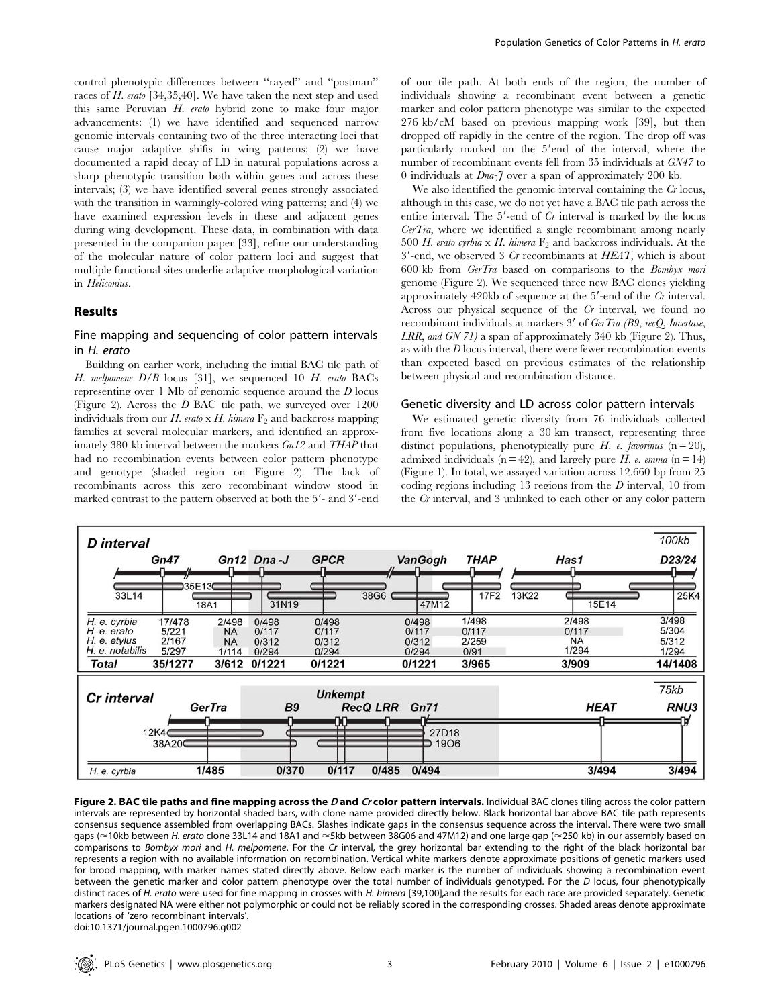control phenotypic differences between ''rayed'' and ''postman'' races of H. erato [34,35,40]. We have taken the next step and used this same Peruvian H. erato hybrid zone to make four major advancements: (1) we have identified and sequenced narrow genomic intervals containing two of the three interacting loci that cause major adaptive shifts in wing patterns; (2) we have documented a rapid decay of LD in natural populations across a sharp phenotypic transition both within genes and across these intervals; (3) we have identified several genes strongly associated with the transition in warningly-colored wing patterns; and (4) we have examined expression levels in these and adjacent genes during wing development. These data, in combination with data presented in the companion paper [33], refine our understanding of the molecular nature of color pattern loci and suggest that multiple functional sites underlie adaptive morphological variation in Heliconius.

# Results

# Fine mapping and sequencing of color pattern intervals in H. erato

Building on earlier work, including the initial BAC tile path of H. melpomene  $D/B$  locus [31], we sequenced 10 H. erato BACs representing over 1 Mb of genomic sequence around the D locus (Figure 2). Across the D BAC tile path, we surveyed over 1200 individuals from our H. erato x H. himera  $F_2$  and backcross mapping families at several molecular markers, and identified an approximately 380 kb interval between the markers Gn12 and THAP that had no recombination events between color pattern phenotype and genotype (shaded region on Figure 2). The lack of recombinants across this zero recombinant window stood in marked contrast to the pattern observed at both the 5'- and 3'-end of our tile path. At both ends of the region, the number of individuals showing a recombinant event between a genetic marker and color pattern phenotype was similar to the expected 276 kb/cM based on previous mapping work [39], but then dropped off rapidly in the centre of the region. The drop off was particularly marked on the 5'end of the interval, where the number of recombinant events fell from 35 individuals at GN47 to 0 individuals at  $Dna-<sup>2</sup>$  over a span of approximately 200 kb.

We also identified the genomic interval containing the Cr locus, although in this case, we do not yet have a BAC tile path across the entire interval. The  $5'$ -end of  $Cr$  interval is marked by the locus  $GerTra,$  where we identified a single recombinant among nearly 500 H. erato cyrbia x H. himera  $F_2$  and backcross individuals. At the  $3'$ -end, we observed 3 Cr recombinants at HEAT, which is about 600 kb from GerTra based on comparisons to the Bombyx mori genome (Figure 2). We sequenced three new BAC clones yielding approximately 420kb of sequence at the  $5'$ -end of the  $Cr$  interval. Across our physical sequence of the Cr interval, we found no recombinant individuals at markers  $3'$  of GerTra (B9, recQ, Invertase, LRR, and GN 71) a span of approximately 340 kb (Figure 2). Thus, as with the D locus interval, there were fewer recombination events than expected based on previous estimates of the relationship between physical and recombination distance.

#### Genetic diversity and LD across color pattern intervals

We estimated genetic diversity from 76 individuals collected from five locations along a 30 km transect, representing three distinct populations, phenotypically pure H. e. favorinus ( $n = 20$ ), admixed individuals ( $n = 42$ ), and largely pure H. e. emma ( $n = 14$ ) (Figure 1). In total, we assayed variation across 12,660 bp from 25 coding regions including 13 regions from the D interval, 10 from the Cr interval, and 3 unlinked to each other or any color pattern



Figure 2. BAC tile paths and fine mapping across the D and Cr color pattern intervals. Individual BAC clones tiling across the color pattern intervals are represented by horizontal shaded bars, with clone name provided directly below. Black horizontal bar above BAC tile path represents consensus sequence assembled from overlapping BACs. Slashes indicate gaps in the consensus sequence across the interval. There were two small gaps ( $\approx$ 10kb between H. erato clone 33L14 and 18A1 and  $\approx$ 5kb between 38G06 and 47M12) and one large gap ( $\approx$ 250 kb) in our assembly based on comparisons to Bombyx mori and H. melpomene. For the Cr interval, the grey horizontal bar extending to the right of the black horizontal bar represents a region with no available information on recombination. Vertical white markers denote approximate positions of genetic markers used for brood mapping, with marker names stated directly above. Below each marker is the number of individuals showing a recombination event between the genetic marker and color pattern phenotype over the total number of individuals genotyped. For the D locus, four phenotypically distinct races of H. erato were used for fine mapping in crosses with H. himera [39,100],and the results for each race are provided separately. Genetic markers designated NA were either not polymorphic or could not be reliably scored in the corresponding crosses. Shaded areas denote approximate locations of 'zero recombinant intervals'.

doi:10.1371/journal.pgen.1000796.g002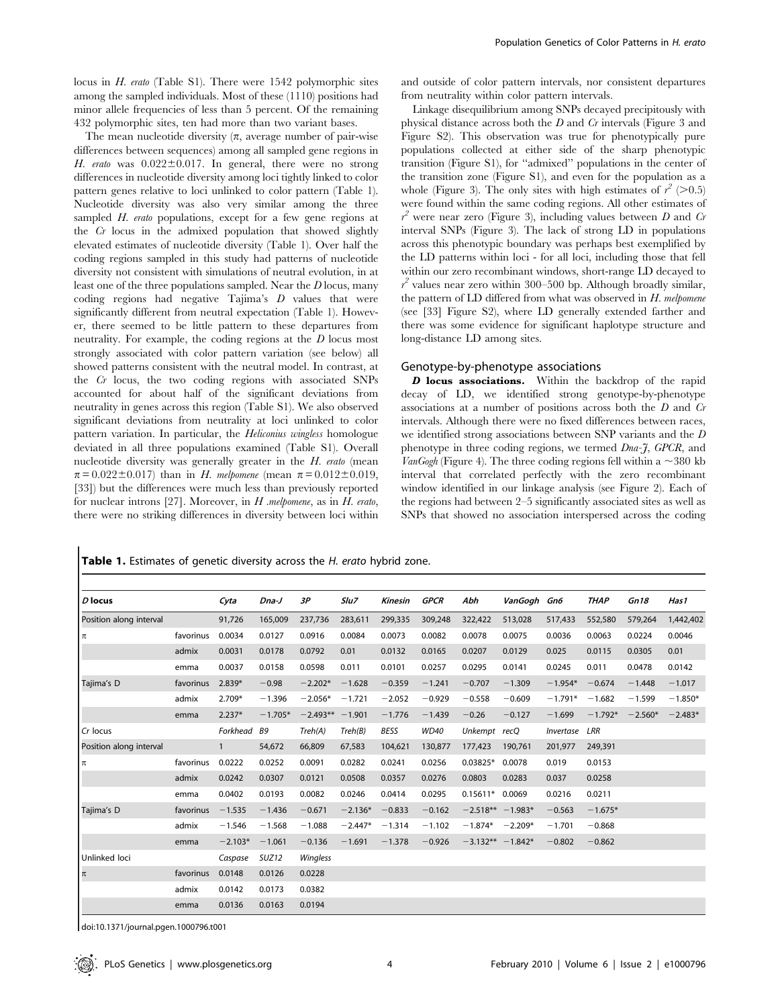locus in H. erato (Table S1). There were 1542 polymorphic sites among the sampled individuals. Most of these (1110) positions had minor allele frequencies of less than 5 percent. Of the remaining 432 polymorphic sites, ten had more than two variant bases.

The mean nucleotide diversity  $(\pi, x)$  average number of pair-wise differences between sequences) among all sampled gene regions in H. erato was  $0.022 \pm 0.017$ . In general, there were no strong differences in nucleotide diversity among loci tightly linked to color pattern genes relative to loci unlinked to color pattern (Table 1). Nucleotide diversity was also very similar among the three sampled H. erato populations, except for a few gene regions at the Cr locus in the admixed population that showed slightly elevated estimates of nucleotide diversity (Table 1). Over half the coding regions sampled in this study had patterns of nucleotide diversity not consistent with simulations of neutral evolution, in at least one of the three populations sampled. Near the D locus, many coding regions had negative Tajima's D values that were significantly different from neutral expectation (Table 1). However, there seemed to be little pattern to these departures from neutrality. For example, the coding regions at the D locus most strongly associated with color pattern variation (see below) all showed patterns consistent with the neutral model. In contrast, at the Cr locus, the two coding regions with associated SNPs accounted for about half of the significant deviations from neutrality in genes across this region (Table S1). We also observed significant deviations from neutrality at loci unlinked to color pattern variation. In particular, the *Heliconius wingless* homologue deviated in all three populations examined (Table S1). Overall nucleotide diversity was generally greater in the H. erato (mean  $\pi = 0.022 \pm 0.017$ ) than in H. melpomene (mean  $\pi = 0.012 \pm 0.019$ , [33]) but the differences were much less than previously reported for nuclear introns [27]. Moreover, in  $H$  .melpomene, as in  $H$ . erato, there were no striking differences in diversity between loci within and outside of color pattern intervals, nor consistent departures from neutrality within color pattern intervals.

Linkage disequilibrium among SNPs decayed precipitously with physical distance across both the D and Cr intervals (Figure 3 and Figure S2). This observation was true for phenotypically pure populations collected at either side of the sharp phenotypic transition (Figure S1), for ''admixed'' populations in the center of the transition zone (Figure S1), and even for the population as a whole (Figure 3). The only sites with high estimates of  $r^2$  (>0.5) were found within the same coding regions. All other estimates of  $r^2$  were near zero (Figure 3), including values between D and C interval SNPs (Figure 3). The lack of strong LD in populations across this phenotypic boundary was perhaps best exemplified by the LD patterns within loci - for all loci, including those that fell within our zero recombinant windows, short-range LD decayed to  $r^2$  values near zero within 300–500 bp. Although broadly similar, the pattern of LD differed from what was observed in  $H$ . melpomene (see [33] Figure S2), where LD generally extended farther and there was some evidence for significant haplotype structure and long-distance LD among sites.

#### Genotype-by-phenotype associations

D locus associations. Within the backdrop of the rapid decay of LD, we identified strong genotype-by-phenotype associations at a number of positions across both the D and Cr intervals. Although there were no fixed differences between races, we identified strong associations between SNP variants and the D phenotype in three coding regions, we termed  $Dna-<sub>1</sub>$ , GPCR, and VanGogh (Figure 4). The three coding regions fell within a  $\sim$  380 kb interval that correlated perfectly with the zero recombinant window identified in our linkage analysis (see Figure 2). Each of the regions had between 2–5 significantly associated sites as well as SNPs that showed no association interspersed across the coding

Table 1. Estimates of genetic diversity across the *H. erato* hybrid zone.

| D locus                 |           | Cyta         | Dna-J     | 3P                | Slu7      | <b>Kinesin</b> | <b>GPCR</b> | Abh                | VanGogh Gn6 |           | <b>THAP</b> | Gn18      | Has1      |
|-------------------------|-----------|--------------|-----------|-------------------|-----------|----------------|-------------|--------------------|-------------|-----------|-------------|-----------|-----------|
| Position along interval |           | 91,726       | 165,009   | 237,736           | 283,611   | 299,335        | 309,248     | 322,422            | 513,028     | 517,433   | 552,580     | 579,264   | 1,442,402 |
| $ \pi $                 | favorinus | 0.0034       | 0.0127    | 0.0916            | 0.0084    | 0.0073         | 0.0082      | 0.0078             | 0.0075      | 0.0036    | 0.0063      | 0.0224    | 0.0046    |
|                         | admix     | 0.0031       | 0.0178    | 0.0792            | 0.01      | 0.0132         | 0.0165      | 0.0207             | 0.0129      | 0.025     | 0.0115      | 0.0305    | 0.01      |
|                         | emma      | 0.0037       | 0.0158    | 0.0598            | 0.011     | 0.0101         | 0.0257      | 0.0295             | 0.0141      | 0.0245    | 0.011       | 0.0478    | 0.0142    |
| Tajima's D              | favorinus | $2.839*$     | $-0.98$   | $-2.202*$         | $-1.628$  | $-0.359$       | $-1.241$    | $-0.707$           | $-1.309$    | $-1.954*$ | $-0.674$    | $-1.448$  | $-1.017$  |
|                         | admix     | 2.709*       | $-1.396$  | $-2.056*$         | $-1.721$  | $-2.052$       | $-0.929$    | $-0.558$           | $-0.609$    | $-1.791*$ | $-1.682$    | $-1.599$  | $-1.850*$ |
|                         | emma      | $2.237*$     | $-1.705*$ | $-2.493** -1.901$ |           | $-1.776$       | $-1.439$    | $-0.26$            | $-0.127$    | $-1.699$  | $-1.792*$   | $-2.560*$ | $-2.483*$ |
| Cr locus                |           | Forkhead     | B9        | Treh(A)           | Treh(B)   | <b>BESS</b>    | WD40        | Unkempt            | recQ        | Invertase | LRR         |           |           |
| Position along interval |           | $\mathbf{1}$ | 54,672    | 66,809            | 67,583    | 104,621        | 130,877     | 177,423            | 190,761     | 201,977   | 249,391     |           |           |
| $\pi$                   | favorinus | 0.0222       | 0.0252    | 0.0091            | 0.0282    | 0.0241         | 0.0256      | $0.03825*$         | 0.0078      | 0.019     | 0.0153      |           |           |
|                         | admix     | 0.0242       | 0.0307    | 0.0121            | 0.0508    | 0.0357         | 0.0276      | 0.0803             | 0.0283      | 0.037     | 0.0258      |           |           |
|                         | emma      | 0.0402       | 0.0193    | 0.0082            | 0.0246    | 0.0414         | 0.0295      | $0.15611*$         | 0.0069      | 0.0216    | 0.0211      |           |           |
| Tajima's D              | favorinus | $-1.535$     | $-1.436$  | $-0.671$          | $-2.136*$ | $-0.833$       | $-0.162$    | $-2.518** -1.983*$ |             | $-0.563$  | $-1.675*$   |           |           |
|                         | admix     | $-1.546$     | $-1.568$  | $-1.088$          | $-2.447*$ | $-1.314$       | $-1.102$    | $-1.874*$          | $-2.209*$   | $-1.701$  | $-0.868$    |           |           |
|                         | emma      | $-2.103*$    | $-1.061$  | $-0.136$          | $-1.691$  | $-1.378$       | $-0.926$    | $-3.132** -1.842*$ |             | $-0.802$  | $-0.862$    |           |           |
| Unlinked loci           |           | Caspase      | SUZ12     | Wingless          |           |                |             |                    |             |           |             |           |           |
| $\pi$                   | favorinus | 0.0148       | 0.0126    | 0.0228            |           |                |             |                    |             |           |             |           |           |
|                         | admix     | 0.0142       | 0.0173    | 0.0382            |           |                |             |                    |             |           |             |           |           |
|                         | emma      | 0.0136       | 0.0163    | 0.0194            |           |                |             |                    |             |           |             |           |           |

doi:10.1371/journal.pgen.1000796.t001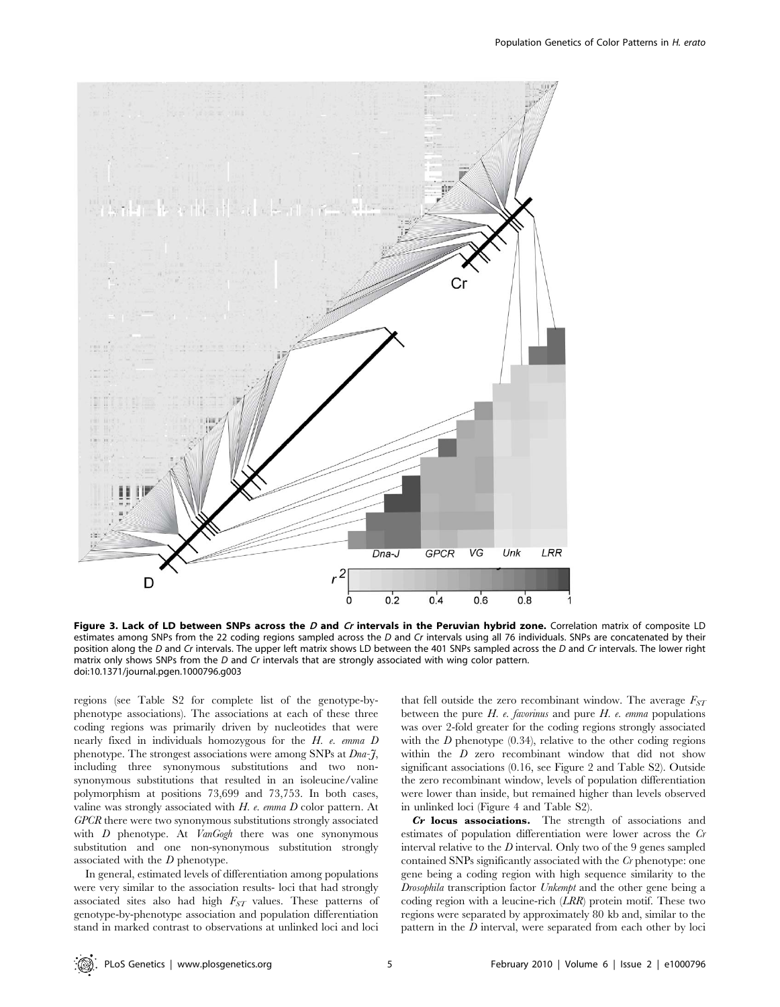

Figure 3. Lack of LD between SNPs across the  $D$  and  $Cr$  intervals in the Peruvian hybrid zone. Correlation matrix of composite LD estimates among SNPs from the 22 coding regions sampled across the D and Cr intervals using all 76 individuals. SNPs are concatenated by their position along the D and Cr intervals. The upper left matrix shows LD between the 401 SNPs sampled across the D and Cr intervals. The lower right matrix only shows SNPs from the  $D$  and  $Cr$  intervals that are strongly associated with wing color pattern. doi:10.1371/journal.pgen.1000796.g003

regions (see Table S2 for complete list of the genotype-byphenotype associations). The associations at each of these three coding regions was primarily driven by nucleotides that were nearly fixed in individuals homozygous for the  $H$ . e. emma  $D$ phenotype. The strongest associations were among SNPs at  $Dna-<sub>1</sub>$ , including three synonymous substitutions and two nonsynonymous substitutions that resulted in an isoleucine/valine polymorphism at positions 73,699 and 73,753. In both cases, valine was strongly associated with H. e. emma D color pattern. At GPCR there were two synonymous substitutions strongly associated with D phenotype. At VanGogh there was one synonymous substitution and one non-synonymous substitution strongly associated with the D phenotype.

In general, estimated levels of differentiation among populations were very similar to the association results- loci that had strongly associated sites also had high  $F_{ST}$  values. These patterns of genotype-by-phenotype association and population differentiation stand in marked contrast to observations at unlinked loci and loci that fell outside the zero recombinant window. The average  $F_{ST}$ between the pure  $H.$  e. favorinus and pure  $H.$  e. emma populations was over 2-fold greater for the coding regions strongly associated with the  $D$  phenotype  $(0.34)$ , relative to the other coding regions within the D zero recombinant window that did not show significant associations (0.16, see Figure 2 and Table S2). Outside the zero recombinant window, levels of population differentiation were lower than inside, but remained higher than levels observed in unlinked loci (Figure 4 and Table S2).

Cr locus associations. The strength of associations and estimates of population differentiation were lower across the Cr interval relative to the  $D$  interval. Only two of the 9 genes sampled contained SNPs significantly associated with the Cr phenotype: one gene being a coding region with high sequence similarity to the Drosophila transcription factor Unkempt and the other gene being a coding region with a leucine-rich (LRR) protein motif. These two regions were separated by approximately 80 kb and, similar to the pattern in the D interval, were separated from each other by loci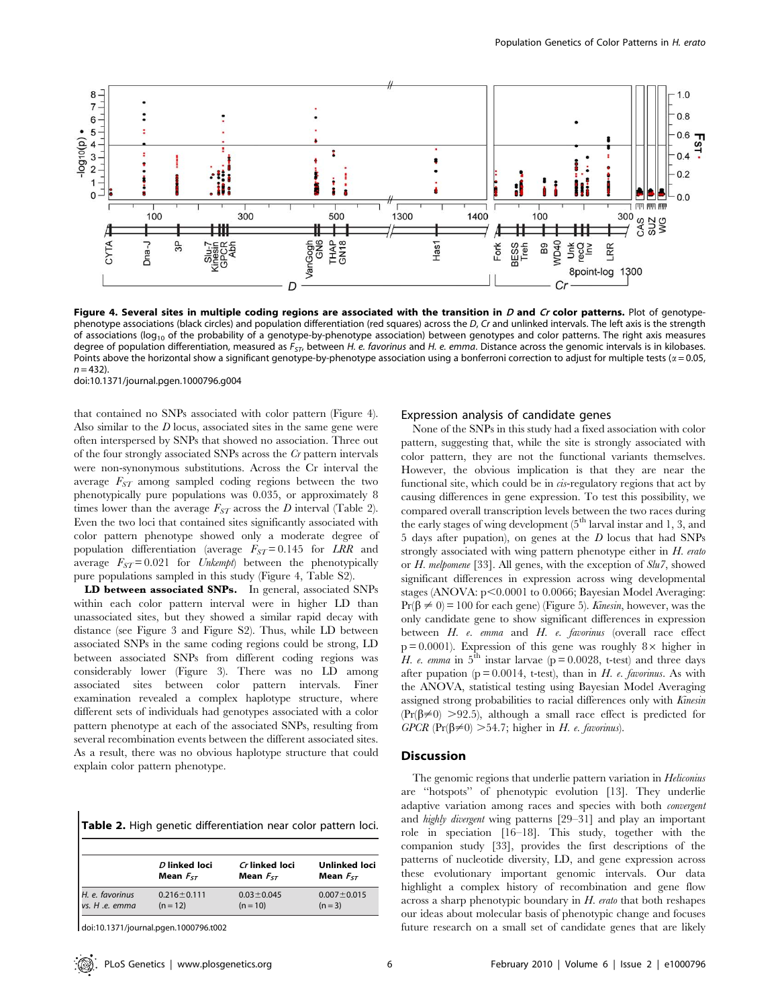

Figure 4. Several sites in multiple coding regions are associated with the transition in  $D$  and  $Cr$  color patterns. Plot of genotypephenotype associations (black circles) and population differentiation (red squares) across the D, Cr and unlinked intervals. The left axis is the strength of associations ( $log_{10}$  of the probability of a genotype-by-phenotype association) between genotypes and color patterns. The right axis measures degree of population differentiation, measured as  $F_{ST}$ , between H. e. favorinus and H. e. emma. Distance across the genomic intervals is in kilobases. Points above the horizontal show a significant genotype-by-phenotype association using a bonferroni correction to adjust for multiple tests ( $\alpha$  = 0.05,  $n = 432$ 

doi:10.1371/journal.pgen.1000796.g004

that contained no SNPs associated with color pattern (Figure 4). Also similar to the D locus, associated sites in the same gene were often interspersed by SNPs that showed no association. Three out of the four strongly associated SNPs across the Cr pattern intervals were non-synonymous substitutions. Across the Cr interval the average  $F_{ST}$  among sampled coding regions between the two phenotypically pure populations was 0.035, or approximately 8 times lower than the average  $F_{ST}$  across the D interval (Table 2). Even the two loci that contained sites significantly associated with color pattern phenotype showed only a moderate degree of population differentiation (average  $F_{ST}$ = 0.145 for LRR and average  $F_{ST}$ = 0.021 for *Unkempt*) between the phenotypically pure populations sampled in this study (Figure 4, Table S2).

LD between associated SNPs. In general, associated SNPs within each color pattern interval were in higher LD than unassociated sites, but they showed a similar rapid decay with distance (see Figure 3 and Figure S2). Thus, while LD between associated SNPs in the same coding regions could be strong, LD between associated SNPs from different coding regions was considerably lower (Figure 3). There was no LD among associated sites between color pattern intervals. Finer examination revealed a complex haplotype structure, where different sets of individuals had genotypes associated with a color pattern phenotype at each of the associated SNPs, resulting from several recombination events between the different associated sites. As a result, there was no obvious haplotype structure that could explain color pattern phenotype.

|  | Table 2. High genetic differentiation near color pattern loci. |  |  |  |  |
|--|----------------------------------------------------------------|--|--|--|--|
|--|----------------------------------------------------------------|--|--|--|--|

|                 | D linked loci     | Cr linked loci   | Unlinked loci     |
|-----------------|-------------------|------------------|-------------------|
|                 | Mean $F_{ST}$     | Mean $F_{ST}$    | Mean $F_{ST}$     |
| H. e. favorinus | $0.216 \pm 0.111$ | $0.03 \pm 0.045$ | $0.007 \pm 0.015$ |
| vs. H .e. emma  | $(n = 12)$        | $(n = 10)$       | $(n=3)$           |

doi:10.1371/journal.pgen.1000796.t002

 $\mathbf{I}$ 

# Expression analysis of candidate genes

None of the SNPs in this study had a fixed association with color pattern, suggesting that, while the site is strongly associated with color pattern, they are not the functional variants themselves. However, the obvious implication is that they are near the functional site, which could be in cis-regulatory regions that act by causing differences in gene expression. To test this possibility, we compared overall transcription levels between the two races during the early stages of wing development  $(5<sup>th</sup>$  larval instar and 1, 3, and  $5$  days after pupation), on genes at the  $D$  locus that had SNPs strongly associated with wing pattern phenotype either in H. erato or H. melpomene [33]. All genes, with the exception of Slu7, showed significant differences in expression across wing developmental stages (ANOVA:  $p<0.0001$  to 0.0066; Bayesian Model Averaging:  $Pr(\beta \neq 0) = 100$  for each gene) (Figure 5). Kinesin, however, was the only candidate gene to show significant differences in expression between  $H$ . e. emma and  $H$ . e. favorinus (overall race effect  $p = 0.0001$ ). Expression of this gene was roughly  $8 \times$  higher in H. e. emma in  $5^{\text{th}}$  instar larvae (p = 0.0028, t-test) and three days after pupation ( $p = 0.0014$ , t-test), than in H. e. favorinus. As with the ANOVA, statistical testing using Bayesian Model Averaging assigned strong probabilities to racial differences only with Kinesin  $(\Pr(\beta \neq 0) > 92.5)$ , although a small race effect is predicted for GPCR ( $Pr(\beta \neq 0) > 54.7$ ; higher in H. e. favorinus).

### **Discussion**

The genomic regions that underlie pattern variation in *Heliconius* are ''hotspots'' of phenotypic evolution [13]. They underlie adaptive variation among races and species with both convergent and highly divergent wing patterns [29–31] and play an important role in speciation [16–18]. This study, together with the companion study [33], provides the first descriptions of the patterns of nucleotide diversity, LD, and gene expression across these evolutionary important genomic intervals. Our data highlight a complex history of recombination and gene flow across a sharp phenotypic boundary in  $H$ . erato that both reshapes our ideas about molecular basis of phenotypic change and focuses future research on a small set of candidate genes that are likely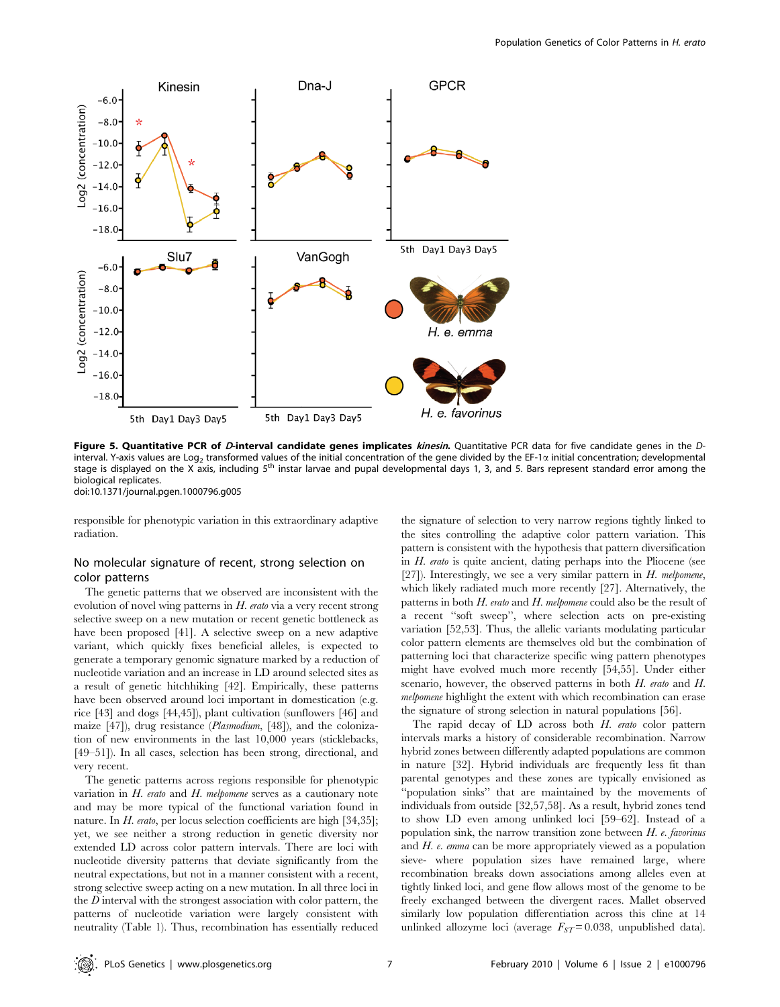

Figure 5. Quantitative PCR of *D*-interval candidate genes implicates kinesin. Quantitative PCR data for five candidate genes in the Dinterval. Y-axis values are Log<sub>2</sub> transformed values of the initial concentration of the gene divided by the EF-1 $\alpha$  initial concentration; developmental stage is displayed on the X axis, including  $5<sup>th</sup>$  instar larvae and pupal developmental days 1, 3, and 5. Bars represent standard error among the biological replicates. doi:10.1371/journal.pgen.1000796.g005

responsible for phenotypic variation in this extraordinary adaptive radiation.

# No molecular signature of recent, strong selection on color patterns

The genetic patterns that we observed are inconsistent with the evolution of novel wing patterns in  $H$ . erato via a very recent strong selective sweep on a new mutation or recent genetic bottleneck as have been proposed [41]. A selective sweep on a new adaptive variant, which quickly fixes beneficial alleles, is expected to generate a temporary genomic signature marked by a reduction of nucleotide variation and an increase in LD around selected sites as a result of genetic hitchhiking [42]. Empirically, these patterns have been observed around loci important in domestication (e.g. rice [43] and dogs [44,45]), plant cultivation (sunflowers [46] and maize [47]), drug resistance (Plasmodium, [48]), and the colonization of new environments in the last 10,000 years (sticklebacks, [49–51]). In all cases, selection has been strong, directional, and very recent.

The genetic patterns across regions responsible for phenotypic variation in H. erato and H. melpomene serves as a cautionary note and may be more typical of the functional variation found in nature. In *H. erato*, per locus selection coefficients are high [34,35]; yet, we see neither a strong reduction in genetic diversity nor extended LD across color pattern intervals. There are loci with nucleotide diversity patterns that deviate significantly from the neutral expectations, but not in a manner consistent with a recent, strong selective sweep acting on a new mutation. In all three loci in the  $D$  interval with the strongest association with color pattern, the patterns of nucleotide variation were largely consistent with neutrality (Table 1). Thus, recombination has essentially reduced the signature of selection to very narrow regions tightly linked to the sites controlling the adaptive color pattern variation. This pattern is consistent with the hypothesis that pattern diversification in H. erato is quite ancient, dating perhaps into the Pliocene (see [27]). Interestingly, we see a very similar pattern in  $H$ . melpomene, which likely radiated much more recently [27]. Alternatively, the patterns in both H. erato and H. melpomene could also be the result of a recent ''soft sweep'', where selection acts on pre-existing variation [52,53]. Thus, the allelic variants modulating particular color pattern elements are themselves old but the combination of patterning loci that characterize specific wing pattern phenotypes might have evolved much more recently [54,55]. Under either scenario, however, the observed patterns in both H. erato and H. melpomene highlight the extent with which recombination can erase the signature of strong selection in natural populations [56].

The rapid decay of LD across both H. erato color pattern intervals marks a history of considerable recombination. Narrow hybrid zones between differently adapted populations are common in nature [32]. Hybrid individuals are frequently less fit than parental genotypes and these zones are typically envisioned as 'population sinks'' that are maintained by the movements of individuals from outside [32,57,58]. As a result, hybrid zones tend to show LD even among unlinked loci [59–62]. Instead of a population sink, the narrow transition zone between  $H$ .  $e$ . favorinus and H. e. emma can be more appropriately viewed as a population sieve- where population sizes have remained large, where recombination breaks down associations among alleles even at tightly linked loci, and gene flow allows most of the genome to be freely exchanged between the divergent races. Mallet observed similarly low population differentiation across this cline at 14 unlinked allozyme loci (average  $F_{ST}$ = 0.038, unpublished data).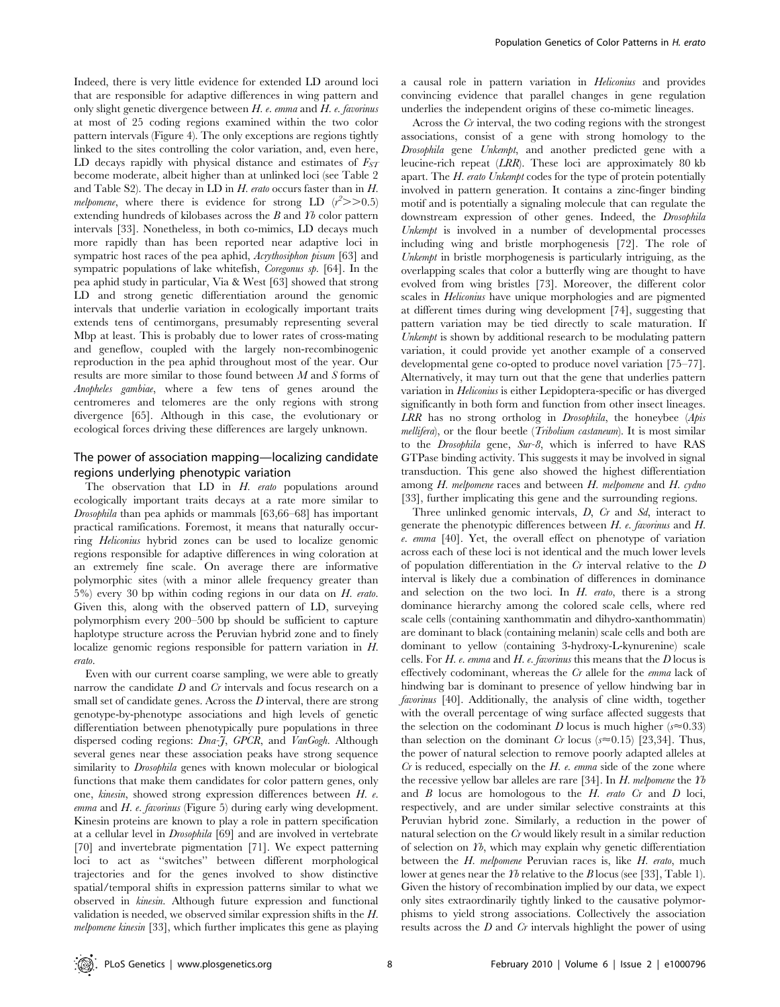Indeed, there is very little evidence for extended LD around loci that are responsible for adaptive differences in wing pattern and only slight genetic divergence between  $H$ . e. emma and  $H$ . e. favorinus at most of 25 coding regions examined within the two color pattern intervals (Figure 4). The only exceptions are regions tightly linked to the sites controlling the color variation, and, even here, LD decays rapidly with physical distance and estimates of  $F_{ST}$ become moderate, albeit higher than at unlinked loci (see Table 2 and Table S2). The decay in LD in  $H$ . erato occurs faster than in  $H$ . melpomene, where there is evidence for strong LD  $(r^2 \ge 0.5)$ extending hundreds of kilobases across the  $B$  and  $Tb$  color pattern intervals [33]. Nonetheless, in both co-mimics, LD decays much more rapidly than has been reported near adaptive loci in sympatric host races of the pea aphid, Acrythosiphon pisum [63] and sympatric populations of lake whitefish, *Coregonus sp.* [64]. In the pea aphid study in particular, Via & West [63] showed that strong LD and strong genetic differentiation around the genomic intervals that underlie variation in ecologically important traits extends tens of centimorgans, presumably representing several Mbp at least. This is probably due to lower rates of cross-mating and geneflow, coupled with the largely non-recombinogenic reproduction in the pea aphid throughout most of the year. Our results are more similar to those found between M and S forms of Anopheles gambiae, where a few tens of genes around the centromeres and telomeres are the only regions with strong divergence [65]. Although in this case, the evolutionary or ecological forces driving these differences are largely unknown.

# The power of association mapping—localizing candidate regions underlying phenotypic variation

The observation that LD in H. erato populations around ecologically important traits decays at a rate more similar to Drosophila than pea aphids or mammals [63,66–68] has important practical ramifications. Foremost, it means that naturally occurring Heliconius hybrid zones can be used to localize genomic regions responsible for adaptive differences in wing coloration at an extremely fine scale. On average there are informative polymorphic sites (with a minor allele frequency greater than 5%) every 30 bp within coding regions in our data on H. erato. Given this, along with the observed pattern of LD, surveying polymorphism every 200–500 bp should be sufficient to capture haplotype structure across the Peruvian hybrid zone and to finely localize genomic regions responsible for pattern variation in H. erato.

Even with our current coarse sampling, we were able to greatly narrow the candidate D and Cr intervals and focus research on a small set of candidate genes. Across the  $D$  interval, there are strong genotype-by-phenotype associations and high levels of genetic differentiation between phenotypically pure populations in three dispersed coding regions: Dna-J, GPCR, and VanGogh. Although several genes near these association peaks have strong sequence similarity to *Drosophila* genes with known molecular or biological functions that make them candidates for color pattern genes, only one, kinesin, showed strong expression differences between H. e. emma and H. e. favorinus (Figure 5) during early wing development. Kinesin proteins are known to play a role in pattern specification at a cellular level in Drosophila [69] and are involved in vertebrate [70] and invertebrate pigmentation [71]. We expect patterning loci to act as ''switches'' between different morphological trajectories and for the genes involved to show distinctive spatial/temporal shifts in expression patterns similar to what we observed in kinesin. Although future expression and functional validation is needed, we observed similar expression shifts in the H. melpomene kinesin [33], which further implicates this gene as playing a causal role in pattern variation in Heliconius and provides convincing evidence that parallel changes in gene regulation underlies the independent origins of these co-mimetic lineages.

Across the Cr interval, the two coding regions with the strongest associations, consist of a gene with strong homology to the Drosophila gene Unkempt, and another predicted gene with a leucine-rich repeat (LRR). These loci are approximately 80 kb apart. The H. erato Unkempt codes for the type of protein potentially involved in pattern generation. It contains a zinc-finger binding motif and is potentially a signaling molecule that can regulate the downstream expression of other genes. Indeed, the Drosophila Unkempt is involved in a number of developmental processes including wing and bristle morphogenesis [72]. The role of Unkempt in bristle morphogenesis is particularly intriguing, as the overlapping scales that color a butterfly wing are thought to have evolved from wing bristles [73]. Moreover, the different color scales in Heliconius have unique morphologies and are pigmented at different times during wing development [74], suggesting that pattern variation may be tied directly to scale maturation. If Unkempt is shown by additional research to be modulating pattern variation, it could provide yet another example of a conserved developmental gene co-opted to produce novel variation [75–77]. Alternatively, it may turn out that the gene that underlies pattern variation in Heliconius is either Lepidoptera-specific or has diverged significantly in both form and function from other insect lineages. LRR has no strong ortholog in Drosophila, the honeybee (Apis mellifera), or the flour beetle (*Tribolium castaneum*). It is most similar to the Drosophila gene, Sur-8, which is inferred to have RAS GTPase binding activity. This suggests it may be involved in signal transduction. This gene also showed the highest differentiation among  $H$ . melpomene races and between  $H$ . melpomene and  $H$ . cydno [33], further implicating this gene and the surrounding regions.

Three unlinked genomic intervals, D, Cr and Sd, interact to generate the phenotypic differences between  $H$ . e. favorinus and  $H$ . e. emma [40]. Yet, the overall effect on phenotype of variation across each of these loci is not identical and the much lower levels of population differentiation in the Cr interval relative to the D interval is likely due a combination of differences in dominance and selection on the two loci. In H. erato, there is a strong dominance hierarchy among the colored scale cells, where red scale cells (containing xanthommatin and dihydro-xanthommatin) are dominant to black (containing melanin) scale cells and both are dominant to yellow (containing 3-hydroxy-L-kynurenine) scale cells. For  $H$ . e. emma and  $H$ . e. favorinus this means that the  $D$  locus is effectively codominant, whereas the Cr allele for the emma lack of hindwing bar is dominant to presence of yellow hindwing bar in favorinus [40]. Additionally, the analysis of cline width, together with the overall percentage of wing surface affected suggests that the selection on the codominant D locus is much higher ( $s \approx 0.33$ ) than selection on the dominant Cr locus ( $s \approx 0.15$ ) [23,34]. Thus, the power of natural selection to remove poorly adapted alleles at  $Cr$  is reduced, especially on the  $H$ . e. emma side of the zone where the recessive yellow bar alleles are rare [34]. In  $H$ . melpomene the Yb and  $B$  locus are homologous to the  $H$ . erato  $Cr$  and  $D$  loci, respectively, and are under similar selective constraints at this Peruvian hybrid zone. Similarly, a reduction in the power of natural selection on the Cr would likely result in a similar reduction of selection on Yb, which may explain why genetic differentiation between the H. melpomene Peruvian races is, like H. erato, much lower at genes near the Yb relative to the B locus (see [33], Table 1). Given the history of recombination implied by our data, we expect only sites extraordinarily tightly linked to the causative polymorphisms to yield strong associations. Collectively the association results across the D and Cr intervals highlight the power of using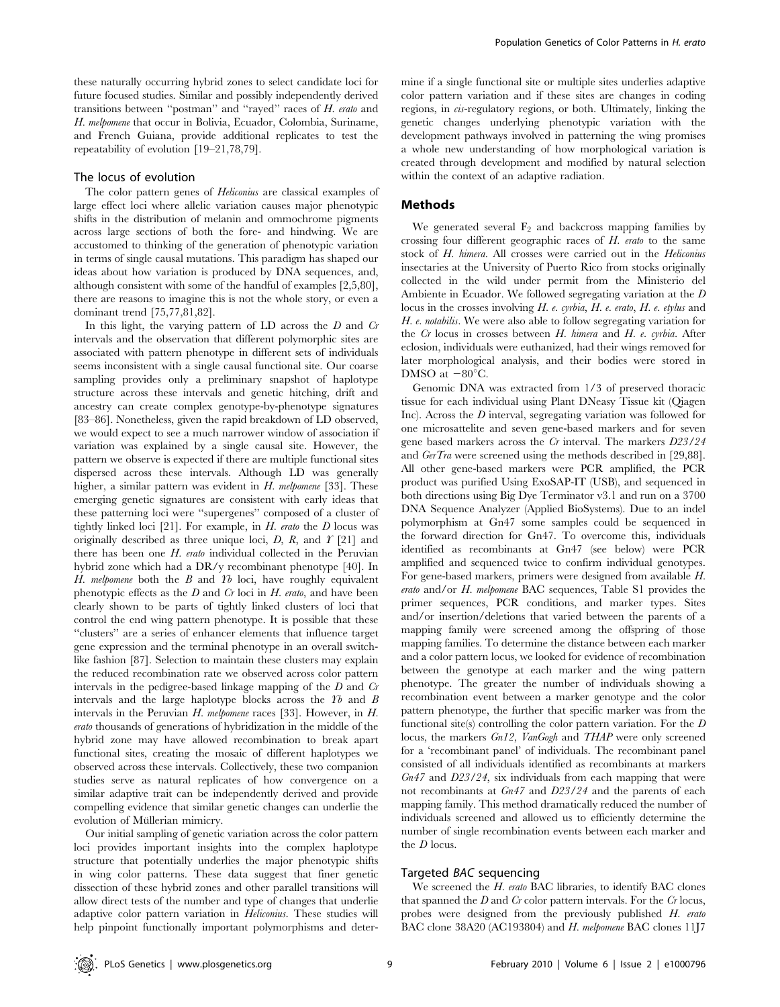these naturally occurring hybrid zones to select candidate loci for future focused studies. Similar and possibly independently derived transitions between ''postman'' and ''rayed'' races of H. erato and H. melpomene that occur in Bolivia, Ecuador, Colombia, Suriname, and French Guiana, provide additional replicates to test the repeatability of evolution [19–21,78,79].

#### The locus of evolution

The color pattern genes of *Heliconius* are classical examples of large effect loci where allelic variation causes major phenotypic shifts in the distribution of melanin and ommochrome pigments across large sections of both the fore- and hindwing. We are accustomed to thinking of the generation of phenotypic variation in terms of single causal mutations. This paradigm has shaped our ideas about how variation is produced by DNA sequences, and, although consistent with some of the handful of examples [2,5,80], there are reasons to imagine this is not the whole story, or even a dominant trend [75,77,81,82].

In this light, the varying pattern of LD across the  $D$  and  $Cr$ intervals and the observation that different polymorphic sites are associated with pattern phenotype in different sets of individuals seems inconsistent with a single causal functional site. Our coarse sampling provides only a preliminary snapshot of haplotype structure across these intervals and genetic hitching, drift and ancestry can create complex genotype-by-phenotype signatures [83–86]. Nonetheless, given the rapid breakdown of LD observed, we would expect to see a much narrower window of association if variation was explained by a single causal site. However, the pattern we observe is expected if there are multiple functional sites dispersed across these intervals. Although LD was generally higher, a similar pattern was evident in H. melpomene [33]. These emerging genetic signatures are consistent with early ideas that these patterning loci were ''supergenes'' composed of a cluster of tightly linked loci [21]. For example, in  $H$ . erato the  $D$  locus was originally described as three unique loci,  $D$ ,  $R$ , and  $\Gamma$  [21] and there has been one H. erato individual collected in the Peruvian hybrid zone which had a DR/y recombinant phenotype [40]. In H. melpomene both the  $B$  and  $Tb$  loci, have roughly equivalent phenotypic effects as the  $D$  and  $Cr$  loci in  $H$ . erato, and have been clearly shown to be parts of tightly linked clusters of loci that control the end wing pattern phenotype. It is possible that these ''clusters'' are a series of enhancer elements that influence target gene expression and the terminal phenotype in an overall switchlike fashion [87]. Selection to maintain these clusters may explain the reduced recombination rate we observed across color pattern intervals in the pedigree-based linkage mapping of the D and Cr intervals and the large haplotype blocks across the  $\mathcal{Y}b$  and  $\mathcal{B}$ intervals in the Peruvian H. melpomene races [33]. However, in H. erato thousands of generations of hybridization in the middle of the hybrid zone may have allowed recombination to break apart functional sites, creating the mosaic of different haplotypes we observed across these intervals. Collectively, these two companion studies serve as natural replicates of how convergence on a similar adaptive trait can be independently derived and provide compelling evidence that similar genetic changes can underlie the evolution of Müllerian mimicry.

Our initial sampling of genetic variation across the color pattern loci provides important insights into the complex haplotype structure that potentially underlies the major phenotypic shifts in wing color patterns. These data suggest that finer genetic dissection of these hybrid zones and other parallel transitions will allow direct tests of the number and type of changes that underlie adaptive color pattern variation in *Heliconius*. These studies will help pinpoint functionally important polymorphisms and determine if a single functional site or multiple sites underlies adaptive color pattern variation and if these sites are changes in coding regions, in cis-regulatory regions, or both. Ultimately, linking the genetic changes underlying phenotypic variation with the development pathways involved in patterning the wing promises a whole new understanding of how morphological variation is created through development and modified by natural selection within the context of an adaptive radiation.

#### Methods

We generated several  $F_2$  and backcross mapping families by crossing four different geographic races of H. erato to the same stock of H. himera. All crosses were carried out in the Heliconius insectaries at the University of Puerto Rico from stocks originally collected in the wild under permit from the Ministerio del Ambiente in Ecuador. We followed segregating variation at the D locus in the crosses involving H. e. cyrbia, H. e. erato, H. e. etylus and H. e. notabilis. We were also able to follow segregating variation for the Cr locus in crosses between H. himera and H. e. cyrbia. After eclosion, individuals were euthanized, had their wings removed for later morphological analysis, and their bodies were stored in DMSO at  $-80^{\circ}$ C.

Genomic DNA was extracted from 1/3 of preserved thoracic tissue for each individual using Plant DNeasy Tissue kit (Qiagen Inc). Across the D interval, segregating variation was followed for one microsattelite and seven gene-based markers and for seven gene based markers across the Cr interval. The markers D23/24 and GerTra were screened using the methods described in [29,88]. All other gene-based markers were PCR amplified, the PCR product was purified Using ExoSAP-IT (USB), and sequenced in both directions using Big Dye Terminator v3.1 and run on a 3700 DNA Sequence Analyzer (Applied BioSystems). Due to an indel polymorphism at Gn47 some samples could be sequenced in the forward direction for Gn47. To overcome this, individuals identified as recombinants at Gn47 (see below) were PCR amplified and sequenced twice to confirm individual genotypes. For gene-based markers, primers were designed from available H. erato and/or H. melpomene BAC sequences, Table S1 provides the primer sequences, PCR conditions, and marker types. Sites and/or insertion/deletions that varied between the parents of a mapping family were screened among the offspring of those mapping families. To determine the distance between each marker and a color pattern locus, we looked for evidence of recombination between the genotype at each marker and the wing pattern phenotype. The greater the number of individuals showing a recombination event between a marker genotype and the color pattern phenotype, the further that specific marker was from the functional site(s) controlling the color pattern variation. For the  $D$ locus, the markers Gn12, VanGogh and THAP were only screened for a 'recombinant panel' of individuals. The recombinant panel consisted of all individuals identified as recombinants at markers Gn47 and D23/24, six individuals from each mapping that were not recombinants at Gn47 and D23/24 and the parents of each mapping family. This method dramatically reduced the number of individuals screened and allowed us to efficiently determine the number of single recombination events between each marker and the D locus.

# Targeted BAC sequencing

We screened the H. erato BAC libraries, to identify BAC clones that spanned the  $D$  and  $Cr$  color pattern intervals. For the  $Cr$  locus, probes were designed from the previously published H. erato BAC clone 38A20 (AC193804) and H. melpomene BAC clones 11J7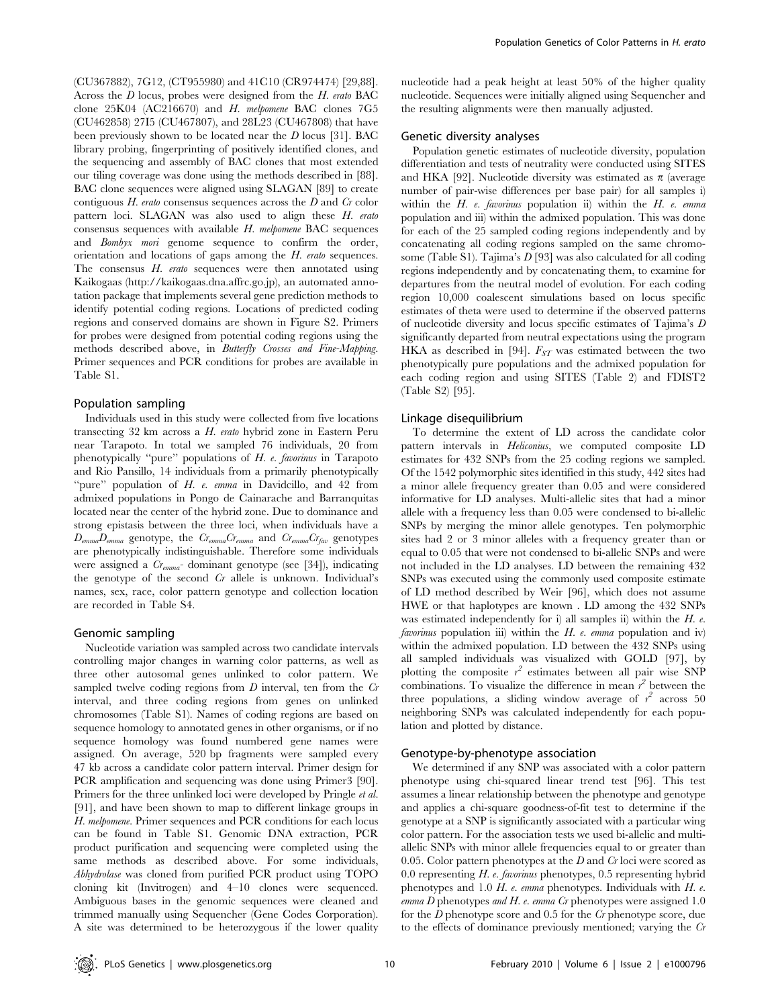(CU367882), 7G12, (CT955980) and 41C10 (CR974474) [29,88]. Across the D locus, probes were designed from the H. erato BAC clone 25K04 (AC216670) and H. melpomene BAC clones 7G5 (CU462858) 27I5 (CU467807), and 28L23 (CU467808) that have been previously shown to be located near the D locus [31]. BAC library probing, fingerprinting of positively identified clones, and the sequencing and assembly of BAC clones that most extended our tiling coverage was done using the methods described in [88]. BAC clone sequences were aligned using SLAGAN [89] to create contiguous  $H$ , erato consensus sequences across the  $D$  and  $Cr$  color pattern loci. SLAGAN was also used to align these H. erato consensus sequences with available H. melpomene BAC sequences and Bombyx mori genome sequence to confirm the order, orientation and locations of gaps among the H. erato sequences. The consensus H. erato sequences were then annotated using Kaikogaas (http://kaikogaas.dna.affrc.go.jp), an automated annotation package that implements several gene prediction methods to identify potential coding regions. Locations of predicted coding regions and conserved domains are shown in Figure S2. Primers for probes were designed from potential coding regions using the methods described above, in Butterfly Crosses and Fine-Mapping. Primer sequences and PCR conditions for probes are available in Table S1.

#### Population sampling

Individuals used in this study were collected from five locations transecting 32 km across a H. erato hybrid zone in Eastern Peru near Tarapoto. In total we sampled 76 individuals, 20 from phenotypically ''pure'' populations of H. e. favorinus in Tarapoto and Rio Pansillo, 14 individuals from a primarily phenotypically "pure" population of H. e. emma in Davidcillo, and 42 from admixed populations in Pongo de Cainarache and Barranquitas located near the center of the hybrid zone. Due to dominance and strong epistasis between the three loci, when individuals have a  $D_{emma}D_{emma}$  genotype, the  $Cr_{emma}Cr_{emma}$  and  $Cr_{emma}Cr_{far}$  genotypes are phenotypically indistinguishable. Therefore some individuals were assigned a  $Cr_{emm}$ - dominant genotype (see [34]), indicating the genotype of the second Cr allele is unknown. Individual's names, sex, race, color pattern genotype and collection location are recorded in Table S4.

#### Genomic sampling

Nucleotide variation was sampled across two candidate intervals controlling major changes in warning color patterns, as well as three other autosomal genes unlinked to color pattern. We sampled twelve coding regions from  $D$  interval, ten from the  $Cr$ interval, and three coding regions from genes on unlinked chromosomes (Table S1). Names of coding regions are based on sequence homology to annotated genes in other organisms, or if no sequence homology was found numbered gene names were assigned. On average, 520 bp fragments were sampled every 47 kb across a candidate color pattern interval. Primer design for PCR amplification and sequencing was done using Primer3 [90]. Primers for the three unlinked loci were developed by Pringle et al. [91], and have been shown to map to different linkage groups in H. melpomene. Primer sequences and PCR conditions for each locus can be found in Table S1. Genomic DNA extraction, PCR product purification and sequencing were completed using the same methods as described above. For some individuals, Abhydrolase was cloned from purified PCR product using TOPO cloning kit (Invitrogen) and 4–10 clones were sequenced. Ambiguous bases in the genomic sequences were cleaned and trimmed manually using Sequencher (Gene Codes Corporation). A site was determined to be heterozygous if the lower quality

nucleotide had a peak height at least 50% of the higher quality nucleotide. Sequences were initially aligned using Sequencher and the resulting alignments were then manually adjusted.

#### Genetic diversity analyses

Population genetic estimates of nucleotide diversity, population differentiation and tests of neutrality were conducted using SITES and HKA [92]. Nucleotide diversity was estimated as  $\pi$  (average number of pair-wise differences per base pair) for all samples i) within the  $H$ . e. favorinus population ii) within the  $H$ . e. emma population and iii) within the admixed population. This was done for each of the 25 sampled coding regions independently and by concatenating all coding regions sampled on the same chromosome (Table S1). Tajima's D [93] was also calculated for all coding regions independently and by concatenating them, to examine for departures from the neutral model of evolution. For each coding region 10,000 coalescent simulations based on locus specific estimates of theta were used to determine if the observed patterns of nucleotide diversity and locus specific estimates of Tajima's D significantly departed from neutral expectations using the program HKA as described in [94].  $F_{ST}$  was estimated between the two phenotypically pure populations and the admixed population for each coding region and using SITES (Table 2) and FDIST2 (Table S2) [95].

#### Linkage disequilibrium

To determine the extent of LD across the candidate color pattern intervals in Heliconius, we computed composite LD estimates for 432 SNPs from the 25 coding regions we sampled. Of the 1542 polymorphic sites identified in this study, 442 sites had a minor allele frequency greater than 0.05 and were considered informative for LD analyses. Multi-allelic sites that had a minor allele with a frequency less than 0.05 were condensed to bi-allelic SNPs by merging the minor allele genotypes. Ten polymorphic sites had 2 or 3 minor alleles with a frequency greater than or equal to 0.05 that were not condensed to bi-allelic SNPs and were not included in the LD analyses. LD between the remaining 432 SNPs was executed using the commonly used composite estimate of LD method described by Weir [96], which does not assume HWE or that haplotypes are known . LD among the 432 SNPs was estimated independently for i) all samples ii) within the  $H$ .  $e$ . *favorinus* population iii) within the  $H$ . e. emma population and iv) within the admixed population. LD between the 432 SNPs using all sampled individuals was visualized with GOLD [97], by plotting the composite  $r^2$  estimates between all pair wise SNP combinations. To visualize the difference in mean  $r^2$  between the three populations, a sliding window average of  $r^2$  across 50 neighboring SNPs was calculated independently for each population and plotted by distance.

### Genotype-by-phenotype association

We determined if any SNP was associated with a color pattern phenotype using chi-squared linear trend test [96]. This test assumes a linear relationship between the phenotype and genotype and applies a chi-square goodness-of-fit test to determine if the genotype at a SNP is significantly associated with a particular wing color pattern. For the association tests we used bi-allelic and multiallelic SNPs with minor allele frequencies equal to or greater than 0.05. Color pattern phenotypes at the  $D$  and  $Cr$  loci were scored as 0.0 representing  $H.$  e. favorinus phenotypes, 0.5 representing hybrid phenotypes and 1.0  $H$ . e. emma phenotypes. Individuals with  $H$ . e. emma  $D$  phenotypes and  $H$ . e. emma  $Cr$  phenotypes were assigned 1.0 for the D phenotype score and 0.5 for the Cr phenotype score, due to the effects of dominance previously mentioned; varying the Cr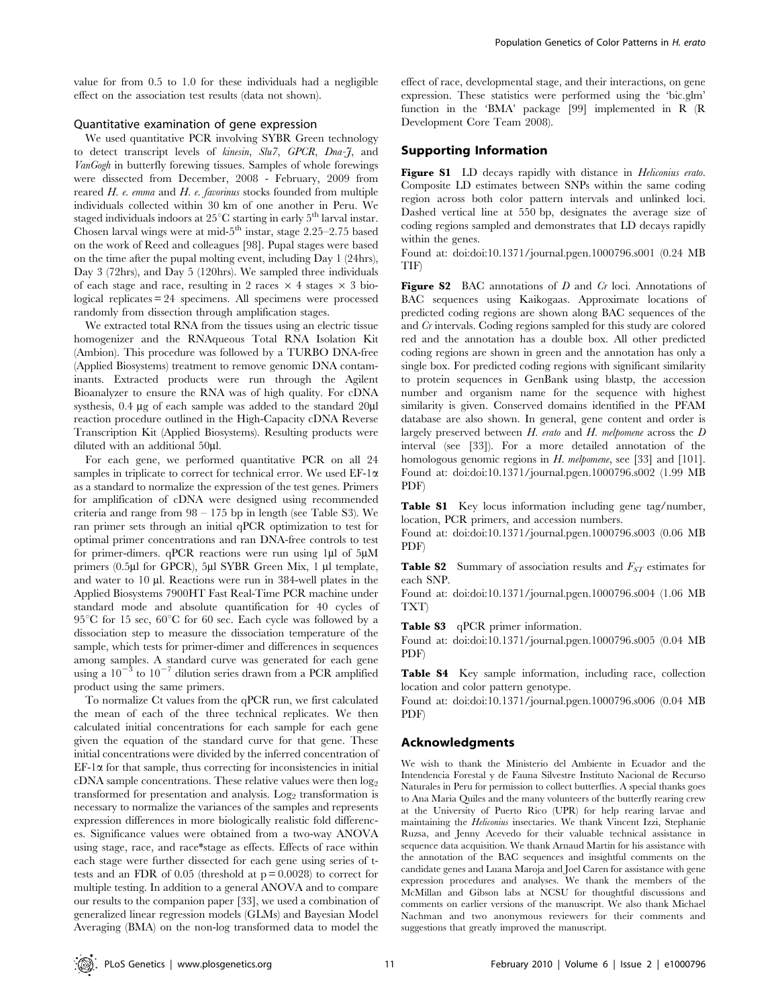value for from 0.5 to 1.0 for these individuals had a negligible effect on the association test results (data not shown).

# Quantitative examination of gene expression

We used quantitative PCR involving SYBR Green technology to detect transcript levels of kinesin, Slu7, GPCR, Dna-J, and VanGogh in butterfly forewing tissues. Samples of whole forewings were dissected from December, 2008 - February, 2009 from reared H. e. emma and H. e. favorinus stocks founded from multiple individuals collected within 30 km of one another in Peru. We staged individuals indoors at  $25^{\circ}$ C starting in early  $5^{\text{th}}$  larval instar. Chosen larval wings were at mid- $5<sup>th</sup>$  instar, stage 2.25–2.75 based on the work of Reed and colleagues [98]. Pupal stages were based on the time after the pupal molting event, including Day 1 (24hrs), Day 3 (72hrs), and Day 5 (120hrs). We sampled three individuals of each stage and race, resulting in 2 races  $\times$  4 stages  $\times$  3 biological replicates = 24 specimens. All specimens were processed randomly from dissection through amplification stages.

We extracted total RNA from the tissues using an electric tissue homogenizer and the RNAqueous Total RNA Isolation Kit (Ambion). This procedure was followed by a TURBO DNA-free (Applied Biosystems) treatment to remove genomic DNA contaminants. Extracted products were run through the Agilent Bioanalyzer to ensure the RNA was of high quality. For cDNA systhesis, 0.4  $\mu$ g of each sample was added to the standard 20 $\mu$ l reaction procedure outlined in the High-Capacity cDNA Reverse Transcription Kit (Applied Biosystems). Resulting products were diluted with an additional 50µl.

For each gene, we performed quantitative PCR on all 24 samples in triplicate to correct for technical error. We used EF-1 $\alpha$ as a standard to normalize the expression of the test genes. Primers for amplification of cDNA were designed using recommended criteria and range from 98 – 175 bp in length (see Table S3). We ran primer sets through an initial qPCR optimization to test for optimal primer concentrations and ran DNA-free controls to test for primer-dimers.  $qPCR$  reactions were run using 1µl of  $5µM$ primers (0.5µl for GPCR), 5µl SYBR Green Mix, 1 µl template, and water to  $10 \mu l$ . Reactions were run in 384-well plates in the Applied Biosystems 7900HT Fast Real-Time PCR machine under standard mode and absolute quantification for 40 cycles of 95<sup>°</sup>C for 15 sec,  $60^{\circ}$ C for 60 sec. Each cycle was followed by a dissociation step to measure the dissociation temperature of the sample, which tests for primer-dimer and differences in sequences among samples. A standard curve was generated for each gene using a  $10^{-3}$  to  $10^{-7}$  dilution series drawn from a PCR amplified product using the same primers.

To normalize Ct values from the qPCR run, we first calculated the mean of each of the three technical replicates. We then calculated initial concentrations for each sample for each gene given the equation of the standard curve for that gene. These initial concentrations were divided by the inferred concentration of  $EF$ -1 $\alpha$  for that sample, thus correcting for inconsistencies in initial  $\text{cDNA sample concentrations.}$  These relative values were then  $\log_2$ transformed for presentation and analysis.  $Log_2$  transformation is necessary to normalize the variances of the samples and represents expression differences in more biologically realistic fold differences. Significance values were obtained from a two-way ANOVA using stage, race, and race\*stage as effects. Effects of race within each stage were further dissected for each gene using series of ttests and an FDR of  $0.05$  (threshold at  $p = 0.0028$ ) to correct for multiple testing. In addition to a general ANOVA and to compare our results to the companion paper [33], we used a combination of generalized linear regression models (GLMs) and Bayesian Model Averaging (BMA) on the non-log transformed data to model the

effect of race, developmental stage, and their interactions, on gene expression. These statistics were performed using the 'bic.glm' function in the 'BMA' package [99] implemented in R (R Development Core Team 2008).

# Supporting Information

Figure S1 LD decays rapidly with distance in *Heliconius erato*. Composite LD estimates between SNPs within the same coding region across both color pattern intervals and unlinked loci. Dashed vertical line at 550 bp, designates the average size of coding regions sampled and demonstrates that LD decays rapidly within the genes.

Found at: doi:doi:10.1371/journal.pgen.1000796.s001 (0.24 MB TIF)

Figure S2 BAC annotations of D and Cr loci. Annotations of BAC sequences using Kaikogaas. Approximate locations of predicted coding regions are shown along BAC sequences of the and Cr intervals. Coding regions sampled for this study are colored red and the annotation has a double box. All other predicted coding regions are shown in green and the annotation has only a single box. For predicted coding regions with significant similarity to protein sequences in GenBank using blastp, the accession number and organism name for the sequence with highest similarity is given. Conserved domains identified in the PFAM database are also shown. In general, gene content and order is largely preserved between  $H$ , erato and  $H$ , melpomene across the  $D$ interval (see [33]). For a more detailed annotation of the homologous genomic regions in H. melpomene, see [33] and [101]. Found at: doi:doi:10.1371/journal.pgen.1000796.s002 (1.99 MB PDF)

Table S1 Key locus information including gene tag/number, location, PCR primers, and accession numbers.

Found at: doi:doi:10.1371/journal.pgen.1000796.s003 (0.06 MB PDF)

**Table S2** Summary of association results and  $F_{ST}$  estimates for each SNP.

Found at: doi:doi:10.1371/journal.pgen.1000796.s004 (1.06 MB TXT)

Table S3 qPCR primer information.

Found at: doi:doi:10.1371/journal.pgen.1000796.s005 (0.04 MB PDF)

Table S4 Key sample information, including race, collection location and color pattern genotype.

Found at: doi:doi:10.1371/journal.pgen.1000796.s006 (0.04 MB PDF)

### Acknowledgments

We wish to thank the Ministerio del Ambiente in Ecuador and the Intendencia Forestal y de Fauna Silvestre Instituto Nacional de Recurso Naturales in Peru for permission to collect butterflies. A special thanks goes to Ana Maria Quiles and the many volunteers of the butterfly rearing crew at the University of Puerto Rico (UPR) for help rearing larvae and maintaining the Heliconius insectaries. We thank Vincent Izzi, Stephanie Ruzsa, and Jenny Acevedo for their valuable technical assistance in sequence data acquisition. We thank Arnaud Martin for his assistance with the annotation of the BAC sequences and insightful comments on the candidate genes and Luana Maroja and Joel Caren for assistance with gene expression procedures and analyses. We thank the members of the McMillan and Gibson labs at NCSU for thoughtful discussions and comments on earlier versions of the manuscript. We also thank Michael Nachman and two anonymous reviewers for their comments and suggestions that greatly improved the manuscript.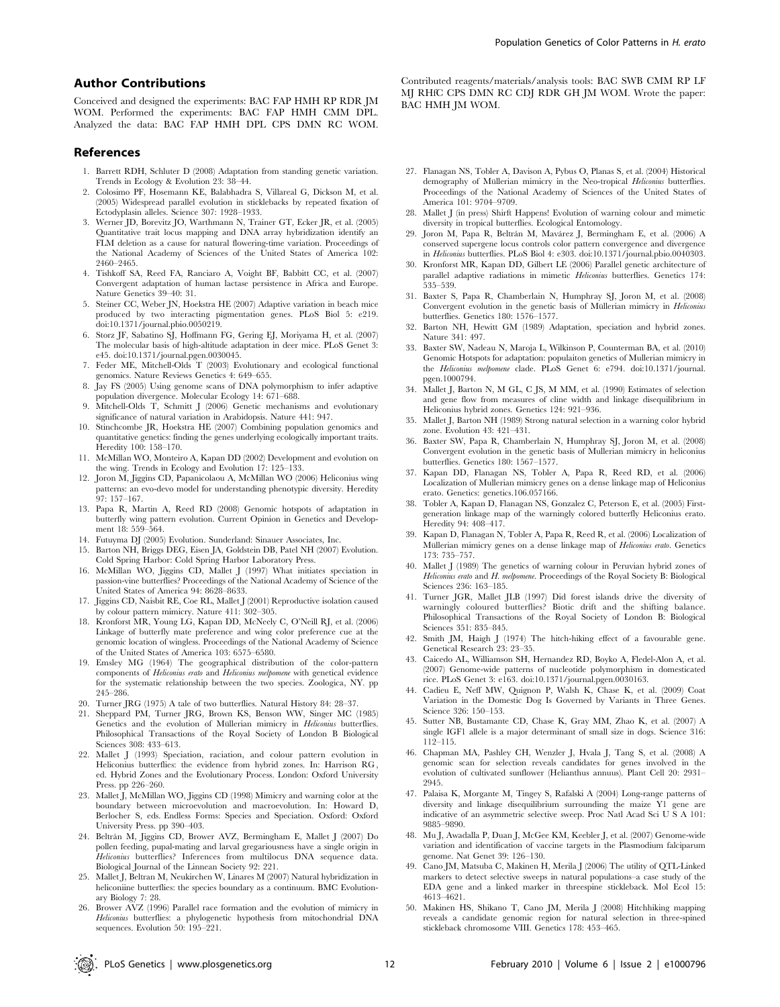### Author Contributions

Conceived and designed the experiments: BAC FAP HMH RP RDR JM WOM. Performed the experiments: BAC FAP HMH CMM DPL. Analyzed the data: BAC FAP HMH DPL CPS DMN RC WOM.

#### References

- 1. Barrett RDH, Schluter D (2008) Adaptation from standing genetic variation. Trends in Ecology & Evolution 23: 38–44.
- 2. Colosimo PF, Hosemann KE, Balabhadra S, Villareal G, Dickson M, et al. (2005) Widespread parallel evolution in sticklebacks by repeated fixation of Ectodyplasin alleles. Science 307: 1928–1933.
- 3. Werner JD, Borevitz JO, Warthmann N, Trainer GT, Ecker JR, et al. (2005) Quantitative trait locus mapping and DNA array hybridization identify an FLM deletion as a cause for natural flowering-time variation. Proceedings of the National Academy of Sciences of the United States of America 102: 2460–2465.
- 4. Tishkoff SA, Reed FA, Ranciaro A, Voight BF, Babbitt CC, et al. (2007) Convergent adaptation of human lactase persistence in Africa and Europe. Nature Genetics 39–40: 31.
- 5. Steiner CC, Weber JN, Hoekstra HE (2007) Adaptive variation in beach mice produced by two interacting pigmentation genes. PLoS Biol 5: e219. doi:10.1371/journal.pbio.0050219.
- 6. Storz JF, Sabatino SJ, Hoffmann FG, Gering EJ, Moriyama H, et al. (2007) The molecular basis of high-altitude adaptation in deer mice. PLoS Genet 3: e45. doi:10.1371/journal.pgen.0030045.
- 7. Feder ME, Mitchell-Olds T (2003) Evolutionary and ecological functional genomics. Nature Reviews Genetics 4: 649–655.
- 8. Jay FS (2005) Using genome scans of DNA polymorphism to infer adaptive population divergence. Molecular Ecology 14: 671–688.
- 9. Mitchell-Olds T, Schmitt J (2006) Genetic mechanisms and evolutionary significance of natural variation in Arabidopsis. Nature 441: 947.
- 10. Stinchcombe JR, Hoekstra HE (2007) Combining population genomics and quantitative genetics: finding the genes underlying ecologically important traits. Heredity 100: 158–170.
- 11. McMillan WO, Monteiro A, Kapan DD (2002) Development and evolution on the wing. Trends in Ecology and Evolution 17: 125–133.
- 12. Joron M, Jiggins CD, Papanicolaou A, McMillan WO (2006) Heliconius wing patterns: an evo-devo model for understanding phenotypic diversity. Heredity  $97 \cdot 157 - 167$
- 13. Papa R, Martin A, Reed RD (2008) Genomic hotspots of adaptation in butterfly wing pattern evolution. Current Opinion in Genetics and Development 18: 559–564.
- 14. Futuyma DJ (2005) Evolution. Sunderland: Sinauer Associates, Inc.
- 15. Barton NH, Briggs DEG, Eisen JA, Goldstein DB, Patel NH (2007) Evolution. Cold Spring Harbor: Cold Spring Harbor Laboratory Press.
- 16. McMillan WO, Jiggins CD, Mallet J (1997) What initiates speciation in passion-vine butterflies? Proceedings of the National Academy of Science of the United States of America 94: 8628–8633.
- 17. Jiggins CD, Naisbit RE, Coe RL, Mallet J (2001) Reproductive isolation caused by colour pattern mimicry. Nature 411: 302–305.
- 18. Kronforst MR, Young LG, Kapan DD, McNeely C, O'Neill RJ, et al. (2006) Linkage of butterfly mate preference and wing color preference cue at the genomic location of wingless. Proceedings of the National Academy of Science of the United States of America 103: 6575–6580.
- 19. Emsley MG (1964) The geographical distribution of the color-pattern components of Heliconius erato and Heliconius melpomene with genetical evidence for the systematic relationship between the two species. Zoologica, NY. pp 245–286.
- 20. Turner JRG (1975) A tale of two butterflies. Natural History 84: 28–37.
- 21. Sheppard PM, Turner JRG, Brown KS, Benson WW, Singer MC (1985) Genetics and the evolution of Müllerian mimicry in Heliconius butterflies. Philosophical Transactions of the Royal Society of London B Biological Sciences 308: 433–613.
- 22. Mallet J (1993) Speciation, raciation, and colour pattern evolution in Heliconius butterflies: the evidence from hybrid zones. In: Harrison RG , ed. Hybrid Zones and the Evolutionary Process. London: Oxford University Press. pp 226–260.
- 23. Mallet J, McMillan WO, Jiggins CD (1998) Mimicry and warning color at the boundary between microevolution and macroevolution. In: Howard D, Berlocher S, eds. Endless Forms: Species and Speciation. Oxford: Oxford University Press. pp 390–403.
- 24. Beltra´n M, Jiggins CD, Brower AVZ, Bermingham E, Mallet J (2007) Do pollen feeding, pupal-mating and larval gregariousness have a single origin in Heliconius butterflies? Inferences from multilocus DNA sequence data. Biological Journal of the Linnean Society 92: 221.
- 25. Mallet J, Beltran M, Neukirchen W, Linares M (2007) Natural hybridization in heliconiine butterflies: the species boundary as a continuum. BMC Evolutionary Biology 7: 28.
- 26. Brower AVZ (1996) Parallel race formation and the evolution of mimicry in Heliconius butterflies: a phylogenetic hypothesis from mitochondrial DNA sequences. Evolution 50: 195–221.

Contributed reagents/materials/analysis tools: BAC SWB CMM RP LF MJ RHfC CPS DMN RC CDJ RDR GH JM WOM. Wrote the paper: BAC HMH JM WOM.

- 27. Flanagan NS, Tobler A, Davison A, Pybus O, Planas S, et al. (2004) Historical demography of Müllerian mimicry in the Neo-tropical Heliconius butterflies. Proceedings of the National Academy of Sciences of the United States of America 101: 9704–9709.
- 28. Mallet J (in press) Shirft Happens! Evolution of warning colour and mimetic diversity in tropical butterflies. Ecological Entomology.
- 29. Joron M, Papa R, Beltrán M, Mavárez J, Bermingham E, et al. (2006) A conserved supergene locus controls color pattern convergence and divergence in Heliconius butterflies. PLoS Biol 4: e303. doi:10.1371/journal.pbio.0040303.
- 30. Kronforst MR, Kapan DD, Gilbert LE (2006) Parallel genetic architecture of parallel adaptive radiations in mimetic Heliconius butterflies. Genetics 174: 535–539.
- 31. Baxter S, Papa R, Chamberlain N, Humphray SJ, Joron M, et al. (2008) Convergent evolution in the genetic basis of Müllerian mimicry in *Heliconius* butterflies. Genetics 180: 1576–1577.
- 32. Barton NH, Hewitt GM (1989) Adaptation, speciation and hybrid zones. Nature 341: 497.
- 33. Baxter SW, Nadeau N, Maroja L, Wilkinson P, Counterman BA, et al. (2010) Genomic Hotspots for adaptation: populaiton genetics of Mullerian mimicry in the Heliconius melpomene clade. PLoS Genet 6: e794. doi:10.1371/journal. pgen.1000794.
- 34. Mallet J, Barton N, M GL, C JS, M MM, et al. (1990) Estimates of selection and gene flow from measures of cline width and linkage disequilibrium in Heliconius hybrid zones. Genetics 124: 921–936.
- 35. Mallet J, Barton NH (1989) Strong natural selection in a warning color hybrid zone. Evolution 43: 421–431.
- 36. Baxter SW, Papa R, Chamberlain N, Humphray SJ, Joron M, et al. (2008) Convergent evolution in the genetic basis of Mullerian mimicry in heliconius butterflies. Genetics 180: 1567–1577.
- 37. Kapan DD, Flanagan NS, Tobler A, Papa R, Reed RD, et al. (2006) Localization of Mullerian mimicry genes on a dense linkage map of Heliconius erato. Genetics: genetics.106.057166.
- 38. Tobler A, Kapan D, Flanagan NS, Gonzalez C, Peterson E, et al. (2005) Firstgeneration linkage map of the warningly colored butterfly Heliconius erato. Heredity 94: 408–417.
- 39. Kapan D, Flanagan N, Tobler A, Papa R, Reed R, et al. (2006) Localization of Müllerian mimicry genes on a dense linkage map of Heliconius erato. Genetics 173: 735–757.
- 40. Mallet J (1989) The genetics of warning colour in Peruvian hybrid zones of Heliconius erato and H. melpomene. Proceedings of the Royal Society B: Biological Sciences 236: 163–185.
- 41. Turner JGR, Mallet JLB (1997) Did forest islands drive the diversity of warningly coloured butterflies? Biotic drift and the shifting balance. Philosophical Transactions of the Royal Society of London B: Biological Sciences 351: 835–845.
- 42. Smith JM, Haigh J (1974) The hitch-hiking effect of a favourable gene. Genetical Research 23: 23–35.
- 43. Caicedo AL, Williamson SH, Hernandez RD, Boyko A, Fledel-Alon A, et al. (2007) Genome-wide patterns of nucleotide polymorphism in domesticated rice. PLoS Genet 3: e163. doi:10.1371/journal.pgen.0030163.
- 44. Cadieu E, Neff MW, Quignon P, Walsh K, Chase K, et al. (2009) Coat Variation in the Domestic Dog Is Governed by Variants in Three Genes. Science 326: 150–153.
- 45. Sutter NB, Bustamante CD, Chase K, Gray MM, Zhao K, et al. (2007) A single IGF1 allele is a major determinant of small size in dogs. Science 316: 112–115.
- 46. Chapman MA, Pashley CH, Wenzler J, Hvala J, Tang S, et al. (2008) A genomic scan for selection reveals candidates for genes involved in the evolution of cultivated sunflower (Helianthus annuus). Plant Cell 20: 2931– 2945.
- 47. Palaisa K, Morgante M, Tingey S, Rafalski A (2004) Long-range patterns of diversity and linkage disequilibrium surrounding the maize Y1 gene are indicative of an asymmetric selective sweep. Proc Natl Acad Sci U S A 101: 9885–9890.
- 48. Mu J, Awadalla P, Duan J, McGee KM, Keebler J, et al. (2007) Genome-wide variation and identification of vaccine targets in the Plasmodium falciparum genome. Nat Genet 39: 126–130.
- 49. Cano JM, Matsuba C, Makinen H, Merila J (2006) The utility of QTL-Linked markers to detect selective sweeps in natural populations–a case study of the EDA gene and a linked marker in threespine stickleback. Mol Ecol 15: 4613–4621.
- 50. Makinen HS, Shikano T, Cano JM, Merila J (2008) Hitchhiking mapping reveals a candidate genomic region for natural selection in three-spined stickleback chromosome VIII. Genetics 178: 453–465.